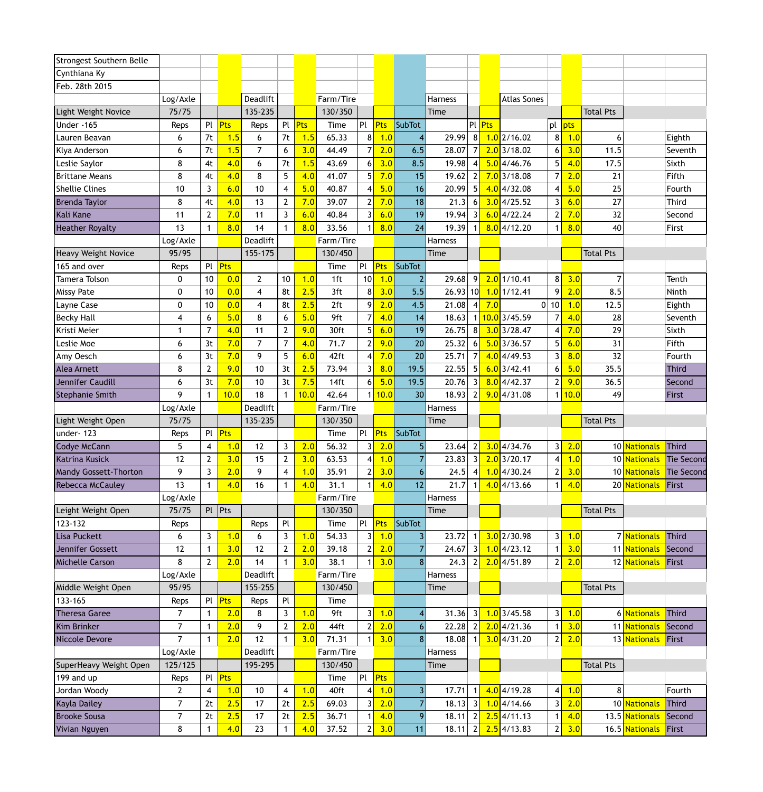| Strongest Southern Belle                   |                         |                |           |                         |                         |      |             |                 |        |                |                |                 |                     |                             |                |        |                  |                      |                         |
|--------------------------------------------|-------------------------|----------------|-----------|-------------------------|-------------------------|------|-------------|-----------------|--------|----------------|----------------|-----------------|---------------------|-----------------------------|----------------|--------|------------------|----------------------|-------------------------|
| Cynthiana Ky                               |                         |                |           |                         |                         |      |             |                 |        |                |                |                 |                     |                             |                |        |                  |                      |                         |
| Feb. 28th 2015                             |                         |                |           |                         |                         |      |             |                 |        |                |                |                 |                     |                             |                |        |                  |                      |                         |
|                                            | Log/Axle                |                |           | Deadlift                |                         |      | Farm/Tire   |                 |        |                | Harness        |                 |                     | <b>Atlas Sones</b>          |                |        |                  |                      |                         |
| Light Weight Novice                        | 75/75                   |                |           | 135-235                 |                         |      | 130/350     |                 |        |                | Time           |                 |                     |                             |                |        | <b>Total Pts</b> |                      |                         |
| <b>Under -165</b>                          | Reps                    | P(             | Pts       | Reps                    | P(                      | Pts  | <b>Time</b> | P               | Pts    | <b>SubTot</b>  |                |                 | Pl <mark>Pts</mark> |                             |                | pl pts |                  |                      |                         |
| Lauren Beavan                              | 6                       | 7t             | 1.5       | 6                       | 7t                      | 1.5  | 65.33       | 8               | 1.0    | 4              | 29.99          | 8               |                     | $1.0$   2/16.02             | 8              | 1.0    | 6                |                      | Eighth                  |
| Klya Anderson                              | 6                       | 7t             | 1.5       | $\overline{7}$          | 6                       | 3.0  | 44.49       | $\overline{7}$  | 2.0    | 6.5            | 28.07          |                 |                     | $2.0$ 3/18.02               | 6              | 3.0    | 11.5             |                      | Seventh                 |
| Leslie Saylor                              | 8                       | 4t             | 4.0       | 6                       | 7t                      | 1.5  | 43.69       | 6               | 3.0    | 8.5            | 19.98          | 4               |                     | $5.0$ 4/46.76               | 5              | 4.0    | 17.5             |                      | Sixth                   |
| <b>Brittane Means</b>                      | 8                       | 4t             | 4.0       | 8                       | 5                       | 4.0  | 41.07       | 5               | 7.0    | 15             | 19.62          | $\overline{2}$  |                     | $7.0$ 3/18.08               | $\overline{7}$ | 2.0    | 21               |                      | Fifth                   |
| <b>Shellie Clines</b>                      | 10                      | 3              | 6.0       | 10                      | $\overline{\mathbf{4}}$ | 5.0  | 40.87       | 4               | 5.0    | 16             | 20.99          | 5               |                     | $4.0$ 4/32.08               | $\overline{4}$ | 5.0    | 25               |                      | Fourth                  |
| Brenda Taylor                              | 8                       | 4t             | 4.0       | 13                      | $\overline{2}$          | 7.0  | 39.07       | $\mathbf{2}$    | 7.0    | 18             | 21.3           | 6               |                     | $3.0$ 4/25.52               | 3              | 6.0    | 27               |                      | <b>Third</b>            |
| Kali Kane                                  | 11                      | $\overline{2}$ | 7.0       | 11                      | $\mathbf{3}$            | 6.0  | 40.84       | $\overline{3}$  | 6.0    | 19             | 19.94          | 3               |                     | $6.0$ 4/22.24               | $\overline{2}$ | 7.0    | 32               |                      | Second                  |
| <b>Heather Royalty</b>                     | 13                      | 1              | 8.0       | 14                      | $\mathbf{1}$            | 8.0  | 33.56       |                 | 8.0    | 24             | 19.39          |                 |                     | $8.0$ 4/12.20               | -1             | 8.0    | 40               |                      | First                   |
|                                            | Log/Axle                |                |           | <b>Deadlift</b>         |                         |      | Farm/Tire   |                 |        |                | <b>Harness</b> |                 |                     |                             |                |        |                  |                      |                         |
|                                            | 95/95                   |                |           | 155-175                 |                         |      | 130/450     |                 |        |                | <b>Time</b>    |                 |                     |                             |                |        | <b>Total Pts</b> |                      |                         |
| <b>Heavy Weight Novice</b><br>165 and over |                         | PL             | Pts       |                         |                         |      | Time        | PL              | Pts    | <b>SubTot</b>  |                |                 |                     |                             |                |        |                  |                      |                         |
| <b>Tamera Tolson</b>                       | Reps<br>$\mathbf 0$     | 10             | 0.0       | $\overline{2}$          | 10                      | 1.0  | 1ft         | 10 <sup>1</sup> | 1.0    | $\overline{2}$ | 29.68          | 9               |                     | $2.0$ 1/10.41               | 8              | 3.0    | $\overline{7}$   |                      | Tenth                   |
|                                            | $\mathbf 0$             | 10             | 0.0       | $\overline{\mathbf{4}}$ | 8t                      | 2.5  | 3ft         | 8               | 3.0    | 5.5            | 26.93          | 10 <sup>l</sup> |                     | $1.0$ 1/12.41               | 9              | 2.0    | 8.5              |                      | Ninth                   |
| <b>Missy Pate</b>                          |                         | 10             | 0.0       |                         | 8t                      | 2.5  | 2ft         | 9               | 2.0    |                | 21.08          |                 | 7.0                 |                             | 0 10           | 1.0    | 12.5             |                      |                         |
| Layne Case                                 | $\pmb{0}$               |                |           | 4                       |                         |      |             |                 |        | 4.5            |                | 4               |                     |                             |                |        |                  |                      | Eighth                  |
| <b>Becky Hall</b>                          | $\overline{\mathbf{4}}$ | 6              | 5.0       | 8                       | 6                       | 5.0  | 9ft         | $\overline{7}$  | 4.0    | 14             | 18.63          |                 |                     | $10.0$ 3/45.59              | $\overline{7}$ | 4.0    | 28               |                      | Seventh                 |
| Kristi Meier                               | 1                       | $\overline{7}$ | 4.0       | 11                      | $\overline{2}$          | 9.0  | 30ft        | 5               | 6.0    | 19             | 26.75          | 8               |                     | $3.0$ 3/28.47               | $\overline{4}$ | 7.0    | 29               |                      | Sixth                   |
| Leslie Moe                                 | 6                       | 3 <sub>t</sub> | 7.0       | $\overline{7}$          | $\overline{7}$          | 4.0  | 71.7        | $\overline{2}$  | 9.0    | 20             | 25.32          | 6               |                     | $5.0$ 3/36.57               | 5              | 6.0    | 31               |                      | Fifth                   |
| Amy Oesch                                  | 6                       | 3 <sub>t</sub> | 7.0       | 9                       | 5                       | 6.0  | 42ft        | 4               | 7.0    | 20             | 25.71          |                 |                     | $4.0$ 4/49.53               | 3              | 8.0    | 32               |                      | Fourth                  |
| Alea Arnett                                | 8                       | $\overline{2}$ | 9.0       | 10                      | 3 <sub>t</sub>          | 2.5  | 73.94       | $\overline{3}$  | 8.0    | 19.5           | 22.55          | 5               |                     | $6.0$ 3/42.41               | 6              | 5.0    | 35.5             |                      | <b>Third</b>            |
| Jennifer Caudill                           | 6                       | 3 <sub>t</sub> | 7.0       | 10                      | 3 <sub>t</sub>          | 7.5  | 14ft        | 6               | 5.0    | 19.5           | 20.76          | 3               |                     | $8.0$ 4/42.37               | $\overline{2}$ | 9.0    | 36.5             |                      | Second                  |
| Stephanie Smith                            | 9.                      |                | 10.0      | 18                      |                         | 10.0 | 42.64       |                 | 1 10.0 | 30             | 18.93          |                 |                     | $2 \big  9.0 \big  4/31.08$ |                | 1 10.0 | 49               |                      | First                   |
|                                            | Log/Axle                |                |           | Deadlift                |                         |      | Farm/Tire   |                 |        |                | <b>Harness</b> |                 |                     |                             |                |        |                  |                      |                         |
| Light Weight Open                          | 75/75                   |                |           | 135-235                 |                         |      | 130/350     |                 |        |                | Time           |                 |                     |                             |                |        | <b>Total Pts</b> |                      |                         |
| under-123                                  | Reps                    | P(             | Pts       |                         |                         |      | Time        | P               | Pts    | SubTot         |                |                 |                     |                             |                |        |                  |                      |                         |
| Codye McCann                               | 5                       | 4              | 1.0       | 12                      | $\mathbf{3}$            | 2.0  | 56.32       | $\mathbf{3}$    | 2.0    | 5              | 23.64          |                 |                     | $3.0$ 4/34.76               | $\overline{3}$ | 2.0    |                  | 10 Nationals         | Third                   |
| Katrina Kusick                             | 12                      | $\overline{2}$ | 3.0       | 15                      | $\overline{2}$          | 3.0  | 63.53       | 4               | 1.0    |                | 23.83          | $\overline{3}$  |                     | $2.0$ 3/20.17               | $\overline{4}$ | 1.0    |                  | 10 Nationals         | <b>Tie Second</b>       |
| <b>Mandy Gossett-Thorton</b>               | 9                       | 3              | 2.0       | 9                       | 4                       | 1.0  | 35.91       | $\overline{2}$  | 3.0    | 6              | 24.5           | 4               |                     | $1.0$ 4/30.24               | $\overline{2}$ | 3.0    |                  |                      | 10 Nationals Tie Second |
| <b>Rebecca McCauley</b>                    | 13                      |                | 4.0       | 16                      | 1                       | 4.0  | 31.1        |                 | 4.0    | 12             | 21.7           |                 |                     | $4.0$ 4/13.66               |                | 4.0    |                  | 20 Nationals         | First                   |
|                                            | Log/Axle                |                |           |                         |                         |      | Farm/Tire   |                 |        |                | Harness        |                 |                     |                             |                |        |                  |                      |                         |
| Leight Weight Open                         | 75/75                   |                | $PI$  Pts |                         |                         |      | 130/350     |                 |        |                | <b>Time</b>    |                 |                     |                             |                |        | <b>Total Pts</b> |                      |                         |
| 123-132                                    | Reps                    |                |           | Reps                    | P(                      |      | Time        | P               | Pts    | SubTot         |                |                 |                     |                             |                |        |                  |                      |                         |
| Lisa Puckett                               | 6                       | $\mathbf{3}$   | 1.0       | 6                       | $\mathbf{3}$            | 1.0  | 54.33       | $\overline{3}$  | 1.0    | 3              | 23.72          |                 |                     | $3.0$ 2/30.98               | $\mathbf{3}$   | 1.0    |                  | 7 Nationals          | <b>Third</b>            |
| Jennifer Gossett                           | 12                      |                | 3.0       | 12                      | $\overline{2}$          | 2.0  | 39.18       | $\overline{2}$  | 2.0    |                | 24.67          | 3               |                     | $1.0$ 4/23.12               |                | 3.0    |                  | 11 Nationals         | Second                  |
| <b>Michelle Carson</b>                     | 8                       | 2 <sup>1</sup> | 2.0       | 14                      |                         | 3.0  | 38.1        |                 | 3.0    | 8              | 24.3           |                 |                     | $2.0$ 4/51.89               | $\overline{2}$ | 2.0    |                  | 12 Nationals         | First                   |
|                                            | Log/Axle                |                |           | <b>Deadlift</b>         |                         |      | Farm/Tire   |                 |        |                | Harness        |                 |                     |                             |                |        |                  |                      |                         |
| Middle Weight Open                         | 95/95                   |                |           | 155-255                 |                         |      | 130/450     |                 |        |                | <b>Time</b>    |                 |                     |                             |                |        | <b>Total Pts</b> |                      |                         |
| 133-165                                    | Reps                    |                | Pl Pts    | Reps                    | P(                      |      | Time        |                 |        |                |                |                 |                     |                             |                |        |                  |                      |                         |
| <b>Theresa Garee</b>                       | $\overline{7}$          | 1              | 2.0       | 8                       | $\mathbf{3}$            | 1.0  | 9ft         | $\overline{3}$  | 1.0    | 4              | 31.36          | $\overline{3}$  |                     | $1.0$ 3/45.58               | $\mathbf{3}$   | 1.0    |                  | 6 Nationals          | Third                   |
| Kim Brinker                                | $\overline{7}$          |                | 2.0       | 9                       | $\overline{2}$          | 2.0  | 44ft        | $\overline{2}$  | 2.0    | 6              | 22.28          |                 |                     | $2.0$ 4/21.36               |                | 3.0    |                  | 11 Nationals         | Second                  |
| Niccole Devore                             | $\overline{7}$          |                | 2.0       | 12                      | 1                       | 3.0  | 71.31       |                 | 3.0    | 8              | 18.08          |                 |                     | $3.0$ 4/31.20               | $\overline{2}$ | 2.0    |                  | 13 Nationals         | First                   |
|                                            | Log/Axle                |                |           | <b>Deadlift</b>         |                         |      | Farm/Tire   |                 |        |                | Harness        |                 |                     |                             |                |        |                  |                      |                         |
| SuperHeavy Weight Open                     | 125/125                 |                |           | 195-295                 |                         |      | 130/450     |                 |        |                | <b>Time</b>    |                 |                     |                             |                |        | <b>Total Pts</b> |                      |                         |
| 199 and up                                 | Reps                    |                | Pl Pts    |                         |                         |      | Time        | P               | Pts    |                |                |                 |                     |                             |                |        |                  |                      |                         |
| Jordan Woody                               | $\mathbf{2}$            | 4              | 1.0       | 10                      | $\overline{4}$          | 1.0  | 40ft        | 4               | 1.0    | $\overline{3}$ | 17.71          |                 |                     | $4.0$ 4/19.28               | $\overline{4}$ | 1.0    | 8                |                      | Fourth                  |
| Kayla Dailey                               | $\overline{7}$          | 2t             | 2.5       | 17                      | 2t                      | 2.5  | 69.03       | 3               | 2.0    | 7              | 18.13          | 3               |                     | $1.0$ 4/14.66               | $\overline{3}$ | 2.0    |                  | 10 Nationals         | <b>Third</b>            |
| <b>Brooke Sousa</b>                        | $\overline{7}$          | 2t             | 2.5       | 17                      | 2t                      | 2.5  | 36.71       |                 | 4.0    | 9              | 18.11          | $\overline{2}$  |                     | $2.5$ 4/11.13               |                | 4.0    |                  | 13.5 Nationals       | Second                  |
| Vivian Nguyen                              | 8                       |                | 4.0       | 23                      | $\mathbf{1}$            | 4.0  | 37.52       | $\overline{2}$  | 3.0    | 11             | 18.11          | $\overline{2}$  |                     | $2.5$ 4/13.83               | $\overline{2}$ | 3.0    |                  | 16.5 Nationals First |                         |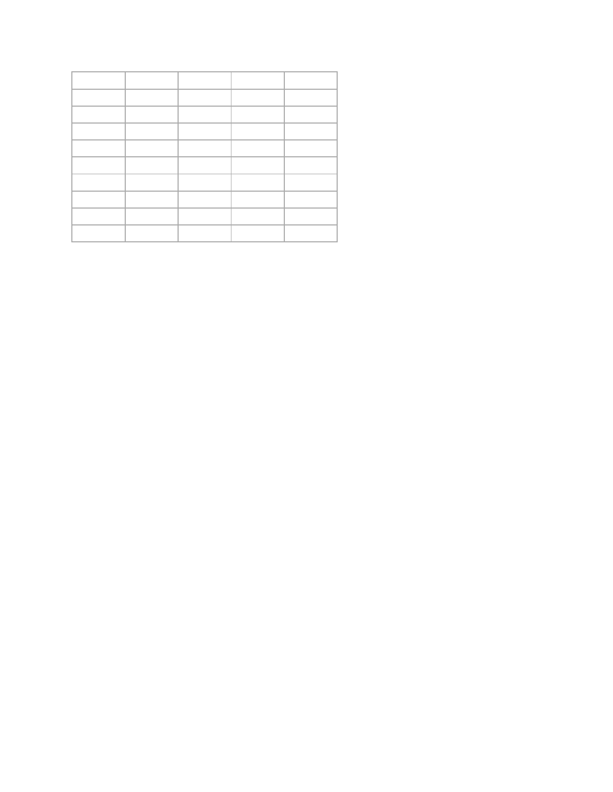|                                                             | the control of the control of the control of the control of                               | the control of the control of the control of the control of the control of                                      | the control of the control of the control of the control of |  |
|-------------------------------------------------------------|-------------------------------------------------------------------------------------------|-----------------------------------------------------------------------------------------------------------------|-------------------------------------------------------------|--|
|                                                             |                                                                                           |                                                                                                                 |                                                             |  |
| the control of the control of the control of the control of | the control of the control of the control of the control of the control of the control of | the control of the control of the control of the control of the control of                                      | the control of the control of the control of                |  |
|                                                             |                                                                                           |                                                                                                                 |                                                             |  |
|                                                             |                                                                                           | the contract of the contract of the contract of the contract of the contract of the contract of the contract of |                                                             |  |
|                                                             |                                                                                           | the control of the control of the control of the control of the control of                                      |                                                             |  |
|                                                             |                                                                                           |                                                                                                                 |                                                             |  |
|                                                             | the control of the control of the control of the control of                               | the control of the control of the control of the control of                                                     | the control of the control of the control of                |  |